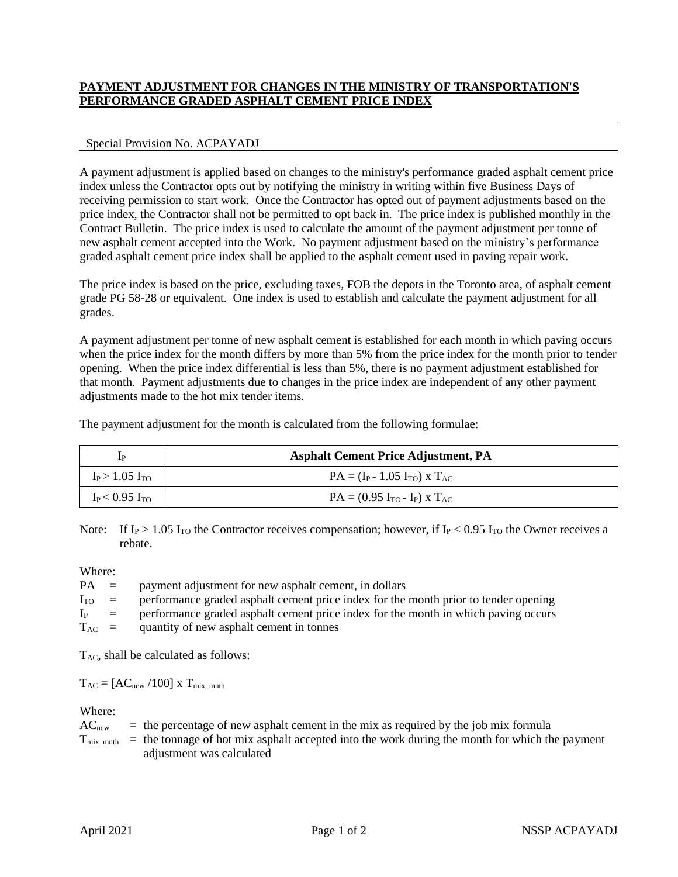## **PAYMENT ADJUSTMENT FOR CHANGES IN THE MINISTRY OF TRANSPORTATION'S PERFORMANCE GRADED ASPHALT CEMENT PRICE INDEX**

## Special Provision No. ACPAYADJ

A payment adjustment is applied based on changes to the ministry's performance graded asphalt cement price index unless the Contractor opts out by notifying the ministry in writing within five Business Days of receiving permission to start work. Once the Contractor has opted out of payment adjustments based on the price index, the Contractor shall not be permitted to opt back in. The price index is published monthly in the Contract Bulletin. The price index is used to calculate the amount of the payment adjustment per tonne of new asphalt cement accepted into the Work. No payment adjustment based on the ministry's performance graded asphalt cement price index shall be applied to the asphalt cement used in paving repair work.

The price index is based on the price, excluding taxes, FOB the depots in the Toronto area, of asphalt cement grade PG 58-28 or equivalent. One index is used to establish and calculate the payment adjustment for all grades.

A payment adjustment per tonne of new asphalt cement is established for each month in which paving occurs when the price index for the month differs by more than 5% from the price index for the month prior to tender opening. When the price index differential is less than 5%, there is no payment adjustment established for that month. Payment adjustments due to changes in the price index are independent of any other payment adjustments made to the hot mix tender items.

The payment adjustment for the month is calculated from the following formulae:

| ĪР                  | <b>Asphalt Cement Price Adjustment, PA</b> |
|---------------------|--------------------------------------------|
| $I_P > 1.05 I_{TO}$ | $PA = (I_P - 1.05 I_{TO}) \times T_{AC}$   |
| $I_P < 0.95$ Ito    | $PA = (0.95 I_{TO} - I_P) \times T_{AC}$   |

Note: If I<sub>P</sub> > 1.05 I<sub>TO</sub> the Contractor receives compensation; however, if I<sub>P</sub> < 0.95 I<sub>TO</sub> the Owner receives a rebate.

Where:

| $PA =$     | payment adjustment for new asphalt cement, in dollars                                     |
|------------|-------------------------------------------------------------------------------------------|
| $I_{TO}$ = | performance graded asphalt cement price index for the month prior to tender opening       |
|            | $IP$ = performance graded asphalt cement price index for the month in which paving occurs |
| $T_{AC}$ = | quantity of new asphalt cement in tonnes                                                  |

 $T_{AC}$ , shall be calculated as follows:

 $T_{AC} = [AC_{new} / 100] \times T_{mix\_mnth}$ 

Where:

| AC <sub>new</sub> | $=$ the percentage of new asphalt cement in the mix as required by the job mix formula                                  |
|-------------------|-------------------------------------------------------------------------------------------------------------------------|
|                   | $T_{mix}$ <sub>mix</sub> = the tonnage of hot mix asphalt accepted into the work during the month for which the payment |
|                   | adjustment was calculated                                                                                               |